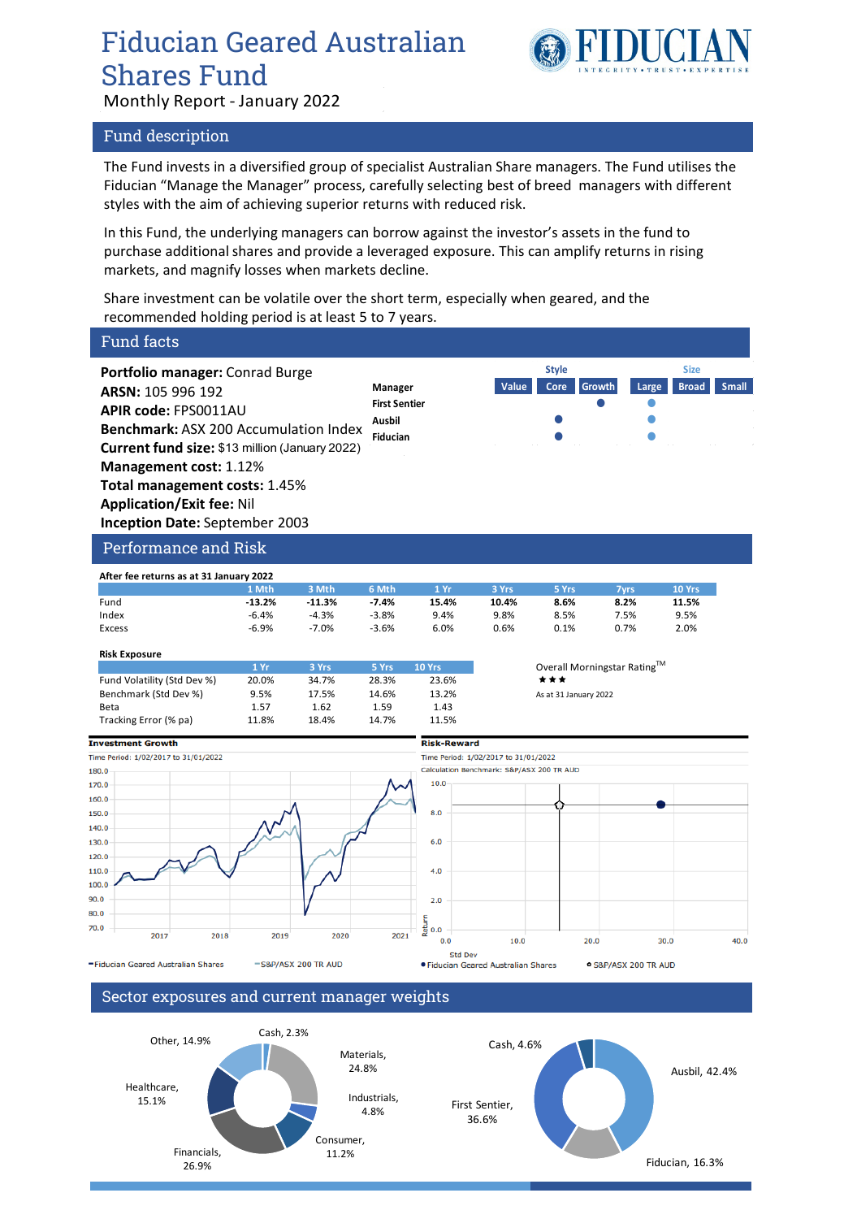## Fiducian Geared Australian Shares Fund Monthly Report - January 2022



#### Fund description

The Fund invests in a diversified group of specialist Australian Share managers. The Fund utilises the Fiducian "Manage the Manager" process, carefully selecting best of breed managers with different styles with the aim of achieving superior returns with reduced risk.

In this Fund, the underlying managers can borrow against the investor's assets in the fund to purchase additional shares and provide a leveraged exposure. This can amplify returns in rising markets, and magnify losses when markets decline.

Share investment can be volatile over the short term, especially when geared, and the recommended holding period is at least 5 to 7 years.

#### Fund facts **Portfolio manager:** Conrad Burge **Style SizeARSN:** 105 996 192 **Manager Value Core Growth Large Broad Small First Sentier APIR code:** FPS0011AU **Ausbil Benchmark:** ASX 200 Accumulation Index **Fiducian Current fund size:** \$13 million (January 2022) **Management cost:** 1.12% **Total management costs:** 1.45% **Application/Exit fee:** Nil **Inception Date:** September 2003 Performance and Risk **After fee returns as at 31 January 2022 1 Mth 3 Mth 6 Mth 1 Yr 3 Yrs 5 Yrs 7yrs 10 Yrs** Fund **-13.2% -11.3% -7.4% 15.4% 10.4% 8.6% 8.2% 11.5%** Index -6.4% -4.3% -3.8% 9.4% 9.8% 8.5% 7.5% 9.5% Excess -6.9% -7.0% -3.6% 6.0% 0.6% 0.1% 0.7% 2.0% **Risk Exposure** 1 Yr **3 Yrs** 5 Yrs 10 Yrs Overall Morningstar Rating<sup>TM</sup> Fund Volatility (Std Dev %) 20.0% 34.7% 28.3% 23.6%  $\star \star \star$ Benchmark (Std Dev %) 9.5% 17.5% 14.6% 13.2% As at 31 January 2022 Beta 1.57 1.62 1.59 1.43 Tracking Error (% pa)  $11.8\%$  18.4% 14.7% 11.5% **Risk-Reward Investment Growth** Time Period: 1/02/2017 to 31/01/2022 Time Period: 1/02/2017 to 31/01/2022 Calculation Benchmark: S&P/ASX 200 TR AUD 180.0  $100$ 170.0 160.0 150.0  $8.0$ 140.0 130.0  $120.0$ 110.0  $4.0$  $100.0$  $90.0$  $2.0$ 80.0 letur  $70.0$  $0.0$ 2017 2018 2019 2020 2021  $0.0$ 10.0 20.0 30.0 40.0 Std Dev -Fiducian Geared Australian Shares S&P/ASX 200 TR AUD · Fiducian Geared Australian Shares · S&P/ASX 200 TR AUD

Sector exposures and current manager weights